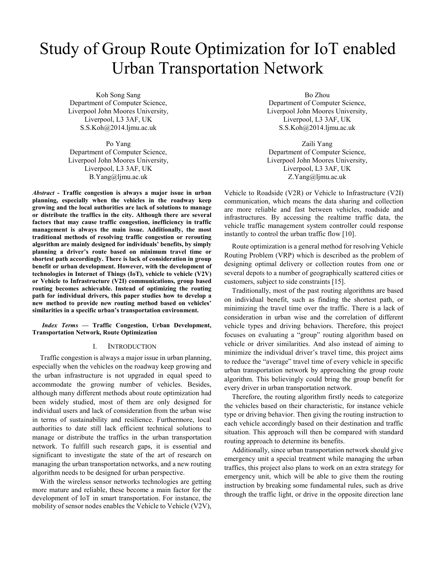# Study of Group Route Optimization for IoT enabled Urban Transportation Network

Koh Song Sang Department of Computer Science, Liverpool John Moores University, Liverpool, L3 3AF, UK S.S.Koh@2014.ljmu.ac.uk

Po Yang Department of Computer Science, Liverpool John Moores University, Liverpool, L3 3AF, UK B.Yang@ljmu.ac.uk

*Abstract* **- Traffic congestion is always a major issue in urban planning, especially when the vehicles in the roadway keep growing and the local authorities are lack of solutions to manage or distribute the traffics in the city. Although there are several factors that may cause traffic congestion, inefficiency in traffic management is always the main issue. Additionally, the most traditional methods of resolving traffic congestion or rerouting algorithm are mainly designed for individuals' benefits, by simply planning a driver's route based on minimum travel time or shortest path accordingly. There is lack of consideration in group benefit or urban development. However, with the development of technologies in Internet of Things (IoT), vehicle to vehicle (V2V) or Vehicle to Infrastructure (V2I) communications, group based routing becomes achievable. Instead of optimizing the routing path for individual drivers, this paper studies how to develop a new method to provide new routing method based on vehicles' similarities in a specific urban's transportation environment.** 

*Index Terms —* **Traffic Congestion, Urban Development, Transportation Network, Route Optimization**

### I. INTRODUCTION

Traffic congestion is always a major issue in urban planning, especially when the vehicles on the roadway keep growing and the urban infrastructure is not upgraded in equal speed to accommodate the growing number of vehicles. Besides, although many different methods about route optimization had been widely studied, most of them are only designed for individual users and lack of consideration from the urban wise in terms of sustainability and resilience. Furthermore, local authorities to date still lack efficient technical solutions to manage or distribute the traffics in the urban transportation network. To fulfill such research gaps, it is essential and significant to investigate the state of the art of research on managing the urban transportation networks, and a new routing algorithm needs to be designed for urban perspective.

With the wireless sensor networks technologies are getting more mature and reliable, these become a main factor for the development of IoT in smart transportation. For instance, the mobility of sensor nodes enables the Vehicle to Vehicle (V2V),

Bo Zhou Department of Computer Science, Liverpool John Moores University, Liverpool, L3 3AF, UK S.S.Koh@2014.ljmu.ac.uk

Zaili Yang Department of Computer Science, Liverpool John Moores University, Liverpool, L3 3AF, UK Z.Yang@ljmu.ac.uk

Vehicle to Roadside (V2R) or Vehicle to Infrastructure (V2I) communication, which means the data sharing and collection are more reliable and fast between vehicles, roadside and infrastructures. By accessing the realtime traffic data, the vehicle traffic management system controller could response instantly to control the urban traffic flow [10].

Route optimization is a general method for resolving Vehicle Routing Problem (VRP) which is described as the problem of designing optimal delivery or collection routes from one or several depots to a number of geographically scattered cities or customers, subject to side constraints [15].

Traditionally, most of the past routing algorithms are based on individual benefit, such as finding the shortest path, or minimizing the travel time over the traffic. There is a lack of consideration in urban wise and the correlation of different vehicle types and driving behaviors. Therefore, this project focuses on evaluating a "group" routing algorithm based on vehicle or driver similarities. And also instead of aiming to minimize the individual driver's travel time, this project aims to reduce the "average" travel time of every vehicle in specific urban transportation network by approaching the group route algorithm. This believingly could bring the group benefit for every driver in urban transportation network.

Therefore, the routing algorithm firstly needs to categorize the vehicles based on their characteristic, for instance vehicle type or driving behavior. Then giving the routing instruction to each vehicle accordingly based on their destination and traffic situation. This approach will then be compared with standard routing approach to determine its benefits.

Additionally, since urban transportation network should give emergency unit a special treatment while managing the urban traffics, this project also plans to work on an extra strategy for emergency unit, which will be able to give them the routing instruction by breaking some fundamental rules, such as drive through the traffic light, or drive in the opposite direction lane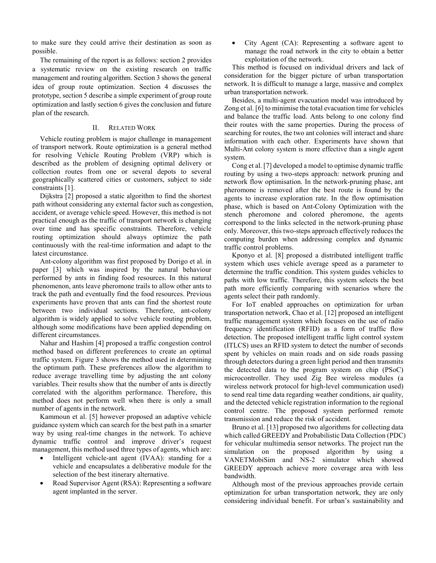to make sure they could arrive their destination as soon as possible.

The remaining of the report is as follows: section 2 provides a systematic review on the existing research on traffic management and routing algorithm. Section 3 shows the general idea of group route optimization. Section 4 discusses the prototype, section 5 describe a simple experiment of group route optimization and lastly section 6 gives the conclusion and future plan of the research.

# II. RELATED WORK

Vehicle routing problem is major challenge in management of transport network. Route optimization is a general method for resolving Vehicle Routing Problem (VRP) which is described as the problem of designing optimal delivery or collection routes from one or several depots to several geographically scattered cities or customers, subject to side constraints [1].

Dijkstra [2] proposed a static algorithm to find the shortest path without considering any external factor such as congestion, accident, or average vehicle speed. However, this method is not practical enough as the traffic of transport network is changing over time and has specific constraints. Therefore, vehicle routing optimization should always optimize the path continuously with the real-time information and adapt to the latest circumstance.

Ant-colony algorithm was first proposed by Dorigo et al. in paper [3] which was inspired by the natural behaviour performed by ants in finding food resources. In this natural phenomenon, ants leave pheromone trails to allow other ants to track the path and eventually find the food resources. Previous experiments have proven that ants can find the shortest route between two individual sections. Therefore, ant-colony algorithm is widely applied to solve vehicle routing problem, although some modifications have been applied depending on different circumstances.

Nahar and Hashim [4] proposed a traffic congestion control method based on different preferences to create an optimal traffic system. Figure 3 shows the method used in determining the optimum path. These preferences allow the algorithm to reduce average travelling time by adjusting the ant colony variables. Their results show that the number of ants is directly correlated with the algorithm performance. Therefore, this method does not perform well when there is only a small number of agents in the network.

Kammoun et al. [5] however proposed an adaptive vehicle guidance system which can search for the best path in a smarter way by using real-time changes in the network. To achieve dynamic traffic control and improve driver's request management, this method used three types of agents, which are:

- Intelligent vehicle-ant agent (IVAA): standing for a vehicle and encapsulates a deliberative module for the selection of the best itinerary alternative.
- Road Supervisor Agent (RSA): Representing a software agent implanted in the server.

• City Agent (CA): Representing a software agent to manage the road network in the city to obtain a better exploitation of the network.

This method is focused on individual drivers and lack of consideration for the bigger picture of urban transportation network. It is difficult to manage a large, massive and complex urban transportation network.

Besides, a multi-agent evacuation model was introduced by Zong et al. [6] to minimise the total evacuation time for vehicles and balance the traffic load. Ants belong to one colony find their routes with the same properties. During the process of searching for routes, the two ant colonies will interact and share information with each other. Experiments have shown that Multi-Ant colony system is more effective than a single agent system.

Cong et al. [7] developed a model to optimise dynamic traffic routing by using a two-steps approach: network pruning and network flow optimisation. In the network-pruning phase, ant pheromone is removed after the best route is found by the agents to increase exploration rate. In the flow optimisation phase, which is based on Ant-Colony Optimization with the stench pheromone and colored pheromone, the agents correspond to the links selected in the network-pruning phase only. Moreover, this two-steps approach effectively reduces the computing burden when addressing complex and dynamic traffic control problems.

Kponyo et al. [8] proposed a distributed intelligent traffic system which uses vehicle average speed as a parameter to determine the traffic condition. This system guides vehicles to paths with low traffic. Therefore, this system selects the best path more efficiently comparing with scenarios where the agents select their path randomly.

For IoT enabled approaches on optimization for urban transportation network, Chao et al. [12] proposed an intelligent traffic management system which focuses on the use of radio frequency identification (RFID) as a form of traffic flow detection. The proposed intelligent traffic light control system (ITLCS) uses an RFID system to detect the number of seconds spent by vehicles on main roads and on side roads passing through detectors during a green light period and then transmits the detected data to the program system on chip (PSoC) microcontroller. They used Zig Bee wireless modules (a wireless network protocol for high-level communication used) to send real time data regarding weather conditions, air quality, and the detected vehicle registration information to the regional control centre. The proposed system performed remote transmission and reduce the risk of accident.

Bruno et al. [13] proposed two algorithms for collecting data which called GREEDY and Probabilistic Data Collection (PDC) for vehicular multimedia sensor networks. The project run the simulation on the proposed algorithm by using a VANETMobiSim and NS-2 simulator which showed GREEDY approach achieve more coverage area with less bandwidth.

Although most of the previous approaches provide certain optimization for urban transportation network, they are only considering individual benefit. For urban's sustainability and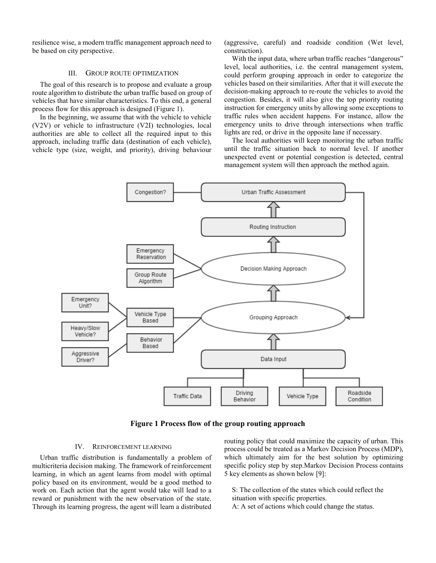resilience wise, a modern traffic management approach need to be based on city perspective.

# III. GROUP ROUTE OPTIMIZATION

The goal of this research is to propose and evaluate a group route algorithm to distribute the urban traffic based on group of vehicles that have similar characteristics. To this end, a general process flow for this approach is designed (Figure 1).

In the beginning, we assume that with the vehicle to vehicle (V2V) or vehicle to infrastructure (V2I) technologies, local authorities are able to collect all the required input to this approach, including traffic data (destination of each vehicle), vehicle type (size, weight, and priority), driving behaviour (aggressive, careful) and roadside condition (Wet level, construction).

With the input data, where urban traffic reaches "dangerous" level, local authorities, i.e. the central management system, could perform grouping approach in order to categorize the vehicles based on their similarities. After that it will execute the decision-making approach to re-route the vehicles to avoid the congestion. Besides, it will also give the top priority routing instruction for emergency units by allowing some exceptions to traffic rules when accident happens. For instance, allow the emergency units to drive through intersections when traffic lights are red, or drive in the opposite lane if necessary.

The local authorities will keep monitoring the urban traffic until the traffic situation back to normal level. If another unexpected event or potential congestion is detected, central management system will then approach the method again.



**Figure 1 Process flow of the group routing approach** 

# IV. REINFORCEMENT LEARNING

Urban traffic distribution is fundamentally a problem of multicriteria decision making. The framework of reinforcement learning, in which an agent learns from model with optimal policy based on its environment, would be a good method to work on. Each action that the agent would take will lead to a reward or punishment with the new observation of the state. Through its learning progress, the agent will learn a distributed

routing policy that could maximize the capacity of urban. This process could be treated as a Markov Decision Process (MDP), which ultimately aim for the best solution by optimizing specific policy step by step.Markov Decision Process contains 5 key elements as shown below [9]:

S: The collection of the states which could reflect the situation with specific properties.

A: A set of actions which could change the status.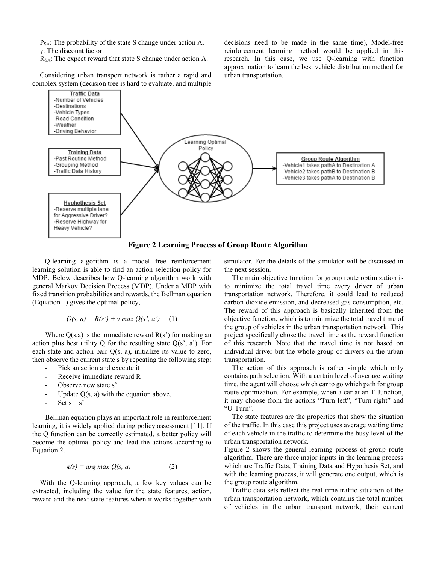P<sub>SA</sub>: The probability of the state S change under action A. γ: The discount factor.

R<sub>SA</sub>: The expect reward that state S change under action A.

decisions need to be made in the same time), Model-free reinforcement learning method would be applied in this research. In this case, we use Q-learning with function approximation to learn the best vehicle distribution method for urban transportation.

Considering urban transport network is rather a rapid and complex system (decision tree is hard to evaluate, and multiple



**Figure 2 Learning Process of Group Route Algorithm** 

 Q-learning algorithm is a model free reinforcement learning solution is able to find an action selection policy for MDP. Below describes how Q-learning algorithm work with general Markov Decision Process (MDP). Under a MDP with fixed transition probabilities and rewards, the Bellman equation (Equation 1) gives the optimal policy,

$$
Q(s, a) = R(s') + \gamma \max Q(s', a') \quad (1)
$$

Where  $Q(s,a)$  is the immediate reward  $R(s')$  for making an action plus best utility Q for the resulting state  $Q(s', a')$ . For each state and action pair  $Q(s, a)$ , initialize its value to zero, then observe the current state s by repeating the following step:

- Pick an action and execute it
- Receive immediate reward R
- Observe new state s'
- Update Q(s, a) with the equation above.
- Set  $s = s'$

Bellman equation plays an important role in reinforcement learning, it is widely applied during policy assessment [11]. If the Q function can be correctly estimated, a better policy will become the optimal policy and lead the actions according to Equation 2.

$$
\pi(s) = \arg \max Q(s, a) \tag{2}
$$

With the Q-learning approach, a few key values can be extracted, including the value for the state features, action, reward and the next state features when it works together with simulator. For the details of the simulator will be discussed in the next session.

The main objective function for group route optimization is to minimize the total travel time every driver of urban transportation network. Therefore, it could lead to reduced carbon dioxide emission, and decreased gas consumption, etc. The reward of this approach is basically inherited from the objective function, which is to minimize the total travel time of the group of vehicles in the urban transportation network. This project specifically chose the travel time as the reward function of this research. Note that the travel time is not based on individual driver but the whole group of drivers on the urban transportation.

The action of this approach is rather simple which only contains path selection. With a certain level of average waiting time, the agent will choose which car to go which path for group route optimization. For example, when a car at an T-Junction, it may choose from the actions "Turn left", "Turn right" and "U-Turn".

The state features are the properties that show the situation of the traffic. In this case this project uses average waiting time of each vehicle in the traffic to determine the busy level of the urban transportation network.

Figure 2 shows the general learning process of group route algorithm. There are three major inputs in the learning process which are Traffic Data, Training Data and Hypothesis Set, and with the learning process, it will generate one output, which is the group route algorithm.

 Traffic data sets reflect the real time traffic situation of the urban transportation network, which contains the total number of vehicles in the urban transport network, their current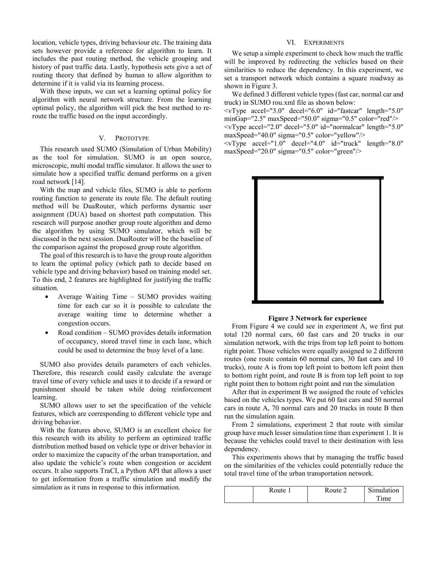location, vehicle types, driving behaviour etc. The training data sets however provide a reference for algorithm to learn. It includes the past routing method, the vehicle grouping and history of past traffic data. Lastly, hypothesis sets give a set of routing theory that defined by human to allow algorithm to determine if it is valid via its learning process.

With these inputs, we can set a learning optimal policy for algorithm with neural network structure. From the learning optimal policy, the algorithm will pick the best method to reroute the traffic based on the input accordingly.

## V. PROTOTYPE

This research used SUMO (Simulation of Urban Mobility) as the tool for simulation. SUMO is an open source, microscopic, multi modal traffic simulator. It allows the user to simulate how a specified traffic demand performs on a given road network [14].

With the map and vehicle files, SUMO is able to perform routing function to generate its route file. The default routing method will be DuaRouter, which performs dynamic user assignment (DUA) based on shortest path computation. This research will purpose another group route algorithm and demo the algorithm by using SUMO simulator, which will be discussed in the next session. DuaRouter will be the baseline of the comparison against the proposed group route algorithm.

The goal of this research is to have the group route algorithm to learn the optimal policy (which path to decide based on vehicle type and driving behavior) based on training model set. To this end, 2 features are highlighted for justifying the traffic situation.

- Average Waiting Time SUMO provides waiting time for each car so it is possible to calculate the average waiting time to determine whether a congestion occurs.
- Road condition SUMO provides details information of occupancy, stored travel time in each lane, which could be used to determine the busy level of a lane.

SUMO also provides details parameters of each vehicles. Therefore, this research could easily calculate the average travel time of every vehicle and uses it to decide if a reward or punishment should be taken while doing reinforcement learning.

SUMO allows user to set the specification of the vehicle features, which are corresponding to different vehicle type and driving behavior.

With the features above, SUMO is an excellent choice for this research with its ability to perform an optimized traffic distribution method based on vehicle type or driver behavior in order to maximize the capacity of the urban transportation, and also update the vehicle's route when congestion or accident occurs. It also supports TraCI, a Python API that allows a user to get information from a traffic simulation and modify the simulation as it runs in response to this information.

#### VI. EXPERIMENTS

We setup a simple experiment to check how much the traffic will be improved by redirecting the vehicles based on their similarities to reduce the dependency. In this experiment, we set a transport network which contains a square roadway as shown in Figure 3.

We defined 3 different vehicle types (fast car, normal car and truck) in SUMO rou.xml file as shown below:

 $\langle \text{vType } accel = "3.0" decel = "6.0" id = "faster" length = "5.0"$ minGap="2.5" maxSpeed="50.0" sigma="0.5" color="red"/>

 $\langle \nabla \rangle$  <vType accel="2.0" decel="5.0" id="normalcar" length="5.0" maxSpeed="40.0" sigma="0.5" color="yellow"/>

 $\langle \nabla \rangle$  accel="1.0" decel="4.0" id="truck" length="8.0" maxSpeed="20.0" sigma="0.5" color="green"/>



#### **Figure 3 Network for experience**

From Figure 4 we could see in experiment A, we first put total 120 normal cars, 60 fast cars and 20 trucks in our simulation network, with the trips from top left point to bottom right point. Those vehicles were equally assigned to 2 different routes (one route contain 60 normal cars, 30 fast cars and 10 trucks), route A is from top left point to bottom left point then to bottom right point, and route B is from top left point to top right point then to bottom right point and run the simulation

After that in experiment B we assigned the route of vehicles based on the vehicles types. We put 60 fast cars and 50 normal cars in route A, 70 normal cars and 20 trucks in route B then run the simulation again.

From 2 simulations, experiment 2 that route with similar group have much lesser simulation time than experiment 1. It is because the vehicles could travel to their destination with less dependency.

This experiments shows that by managing the traffic based on the similarities of the vehicles could potentially reduce the total travel time of the urban transportation network.

| Route | Route 2 | Simulation |
|-------|---------|------------|
|       |         | ime        |